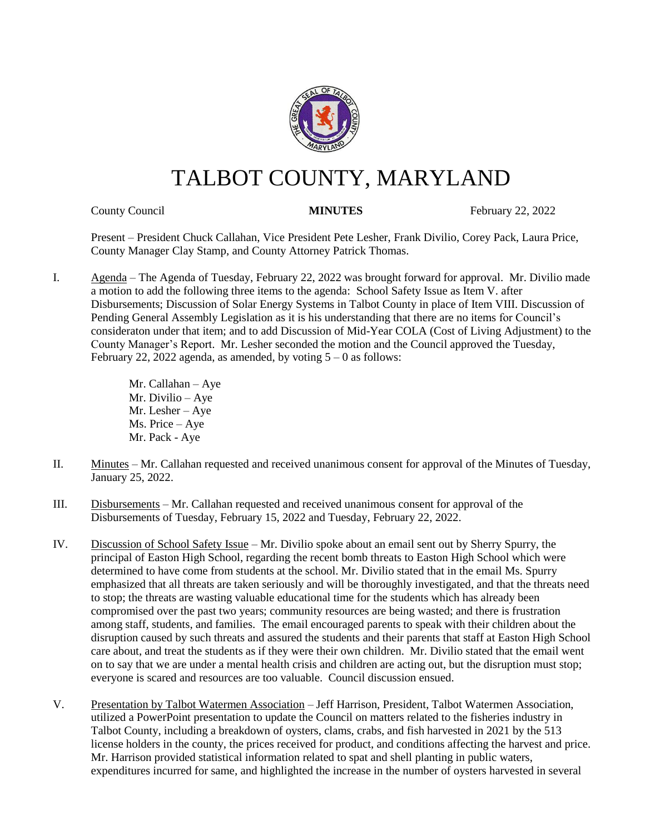

# TALBOT COUNTY, MARYLAND

County Council **MINUTES** February 22, 2022

Present – President Chuck Callahan, Vice President Pete Lesher, Frank Divilio, Corey Pack, Laura Price, County Manager Clay Stamp, and County Attorney Patrick Thomas.

I. Agenda – The Agenda of Tuesday, February 22, 2022 was brought forward for approval. Mr. Divilio made a motion to add the following three items to the agenda: School Safety Issue as Item V. after Disbursements; Discussion of Solar Energy Systems in Talbot County in place of Item VIII. Discussion of Pending General Assembly Legislation as it is his understanding that there are no items for Council's consideraton under that item; and to add Discussion of Mid-Year COLA (Cost of Living Adjustment) to the County Manager's Report. Mr. Lesher seconded the motion and the Council approved the Tuesday, February 22, 2022 agenda, as amended, by voting  $5 - 0$  as follows:

> Mr. Callahan – Aye Mr. Divilio – Aye Mr. Lesher – Aye Ms. Price – Aye Mr. Pack - Aye

- II. Minutes Mr. Callahan requested and received unanimous consent for approval of the Minutes of Tuesday, January 25, 2022.
- III. Disbursements Mr. Callahan requested and received unanimous consent for approval of the Disbursements of Tuesday, February 15, 2022 and Tuesday, February 22, 2022.
- IV. Discussion of School Safety Issue Mr. Divilio spoke about an email sent out by Sherry Spurry, the principal of Easton High School, regarding the recent bomb threats to Easton High School which were determined to have come from students at the school. Mr. Divilio stated that in the email Ms. Spurry emphasized that all threats are taken seriously and will be thoroughly investigated, and that the threats need to stop; the threats are wasting valuable educational time for the students which has already been compromised over the past two years; community resources are being wasted; and there is frustration among staff, students, and families. The email encouraged parents to speak with their children about the disruption caused by such threats and assured the students and their parents that staff at Easton High School care about, and treat the students as if they were their own children. Mr. Divilio stated that the email went on to say that we are under a mental health crisis and children are acting out, but the disruption must stop; everyone is scared and resources are too valuable. Council discussion ensued.
- V. Presentation by Talbot Watermen Association Jeff Harrison, President, Talbot Watermen Association, utilized a PowerPoint presentation to update the Council on matters related to the fisheries industry in Talbot County, including a breakdown of oysters, clams, crabs, and fish harvested in 2021 by the 513 license holders in the county, the prices received for product, and conditions affecting the harvest and price. Mr. Harrison provided statistical information related to spat and shell planting in public waters, expenditures incurred for same, and highlighted the increase in the number of oysters harvested in several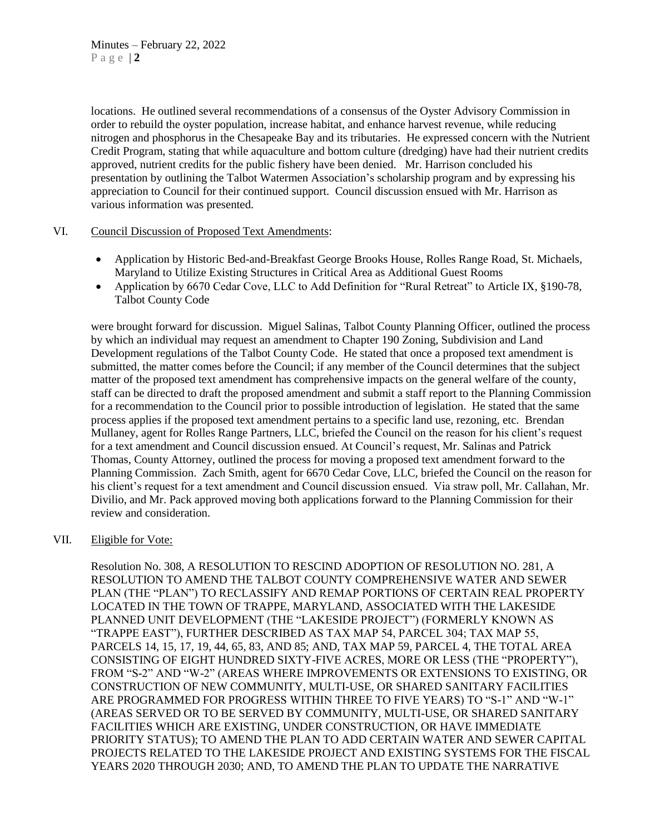locations. He outlined several recommendations of a consensus of the Oyster Advisory Commission in order to rebuild the oyster population, increase habitat, and enhance harvest revenue, while reducing nitrogen and phosphorus in the Chesapeake Bay and its tributaries. He expressed concern with the Nutrient Credit Program, stating that while aquaculture and bottom culture (dredging) have had their nutrient credits approved, nutrient credits for the public fishery have been denied. Mr. Harrison concluded his presentation by outlining the Talbot Watermen Association's scholarship program and by expressing his appreciation to Council for their continued support. Council discussion ensued with Mr. Harrison as various information was presented.

### VI. Council Discussion of Proposed Text Amendments:

- Application by Historic Bed-and-Breakfast George Brooks House, Rolles Range Road, St. Michaels, Maryland to Utilize Existing Structures in Critical Area as Additional Guest Rooms
- Application by 6670 Cedar Cove, LLC to Add Definition for "Rural Retreat" to Article IX, §190-78, Talbot County Code

were brought forward for discussion. Miguel Salinas, Talbot County Planning Officer, outlined the process by which an individual may request an amendment to Chapter 190 Zoning, Subdivision and Land Development regulations of the Talbot County Code. He stated that once a proposed text amendment is submitted, the matter comes before the Council; if any member of the Council determines that the subject matter of the proposed text amendment has comprehensive impacts on the general welfare of the county, staff can be directed to draft the proposed amendment and submit a staff report to the Planning Commission for a recommendation to the Council prior to possible introduction of legislation. He stated that the same process applies if the proposed text amendment pertains to a specific land use, rezoning, etc. Brendan Mullaney, agent for Rolles Range Partners, LLC, briefed the Council on the reason for his client's request for a text amendment and Council discussion ensued. At Council's request, Mr. Salinas and Patrick Thomas, County Attorney, outlined the process for moving a proposed text amendment forward to the Planning Commission. Zach Smith, agent for 6670 Cedar Cove, LLC, briefed the Council on the reason for his client's request for a text amendment and Council discussion ensued. Via straw poll, Mr. Callahan, Mr. Divilio, and Mr. Pack approved moving both applications forward to the Planning Commission for their review and consideration.

### VII. Eligible for Vote:

Resolution No. 308, A RESOLUTION TO RESCIND ADOPTION OF RESOLUTION NO. 281, A RESOLUTION TO AMEND THE TALBOT COUNTY COMPREHENSIVE WATER AND SEWER PLAN (THE "PLAN") TO RECLASSIFY AND REMAP PORTIONS OF CERTAIN REAL PROPERTY LOCATED IN THE TOWN OF TRAPPE, MARYLAND, ASSOCIATED WITH THE LAKESIDE PLANNED UNIT DEVELOPMENT (THE "LAKESIDE PROJECT") (FORMERLY KNOWN AS "TRAPPE EAST"), FURTHER DESCRIBED AS TAX MAP 54, PARCEL 304; TAX MAP 55, PARCELS 14, 15, 17, 19, 44, 65, 83, AND 85; AND, TAX MAP 59, PARCEL 4, THE TOTAL AREA CONSISTING OF EIGHT HUNDRED SIXTY-FIVE ACRES, MORE OR LESS (THE "PROPERTY"), FROM "S-2" AND "W-2" (AREAS WHERE IMPROVEMENTS OR EXTENSIONS TO EXISTING, OR CONSTRUCTION OF NEW COMMUNITY, MULTI-USE, OR SHARED SANITARY FACILITIES ARE PROGRAMMED FOR PROGRESS WITHIN THREE TO FIVE YEARS) TO "S-1" AND "W-1" (AREAS SERVED OR TO BE SERVED BY COMMUNITY, MULTI-USE, OR SHARED SANITARY FACILITIES WHICH ARE EXISTING, UNDER CONSTRUCTION, OR HAVE IMMEDIATE PRIORITY STATUS); TO AMEND THE PLAN TO ADD CERTAIN WATER AND SEWER CAPITAL PROJECTS RELATED TO THE LAKESIDE PROJECT AND EXISTING SYSTEMS FOR THE FISCAL YEARS 2020 THROUGH 2030; AND, TO AMEND THE PLAN TO UPDATE THE NARRATIVE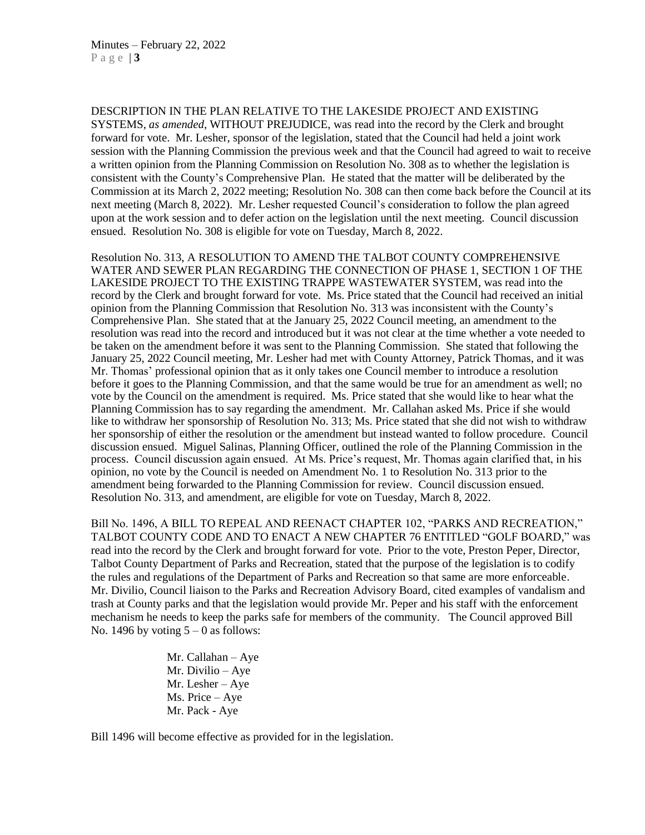DESCRIPTION IN THE PLAN RELATIVE TO THE LAKESIDE PROJECT AND EXISTING SYSTEMS, *as amended*, WITHOUT PREJUDICE, was read into the record by the Clerk and brought forward for vote. Mr. Lesher, sponsor of the legislation, stated that the Council had held a joint work session with the Planning Commission the previous week and that the Council had agreed to wait to receive a written opinion from the Planning Commission on Resolution No. 308 as to whether the legislation is consistent with the County's Comprehensive Plan. He stated that the matter will be deliberated by the Commission at its March 2, 2022 meeting; Resolution No. 308 can then come back before the Council at its next meeting (March 8, 2022). Mr. Lesher requested Council's consideration to follow the plan agreed upon at the work session and to defer action on the legislation until the next meeting. Council discussion ensued. Resolution No. 308 is eligible for vote on Tuesday, March 8, 2022.

Resolution No. 313, A RESOLUTION TO AMEND THE TALBOT COUNTY COMPREHENSIVE WATER AND SEWER PLAN REGARDING THE CONNECTION OF PHASE 1, SECTION 1 OF THE LAKESIDE PROJECT TO THE EXISTING TRAPPE WASTEWATER SYSTEM, was read into the record by the Clerk and brought forward for vote. Ms. Price stated that the Council had received an initial opinion from the Planning Commission that Resolution No. 313 was inconsistent with the County's Comprehensive Plan. She stated that at the January 25, 2022 Council meeting, an amendment to the resolution was read into the record and introduced but it was not clear at the time whether a vote needed to be taken on the amendment before it was sent to the Planning Commission. She stated that following the January 25, 2022 Council meeting, Mr. Lesher had met with County Attorney, Patrick Thomas, and it was Mr. Thomas' professional opinion that as it only takes one Council member to introduce a resolution before it goes to the Planning Commission, and that the same would be true for an amendment as well; no vote by the Council on the amendment is required. Ms. Price stated that she would like to hear what the Planning Commission has to say regarding the amendment. Mr. Callahan asked Ms. Price if she would like to withdraw her sponsorship of Resolution No. 313; Ms. Price stated that she did not wish to withdraw her sponsorship of either the resolution or the amendment but instead wanted to follow procedure. Council discussion ensued. Miguel Salinas, Planning Officer, outlined the role of the Planning Commission in the process. Council discussion again ensued. At Ms. Price's request, Mr. Thomas again clarified that, in his opinion, no vote by the Council is needed on Amendment No. 1 to Resolution No. 313 prior to the amendment being forwarded to the Planning Commission for review. Council discussion ensued. Resolution No. 313, and amendment, are eligible for vote on Tuesday, March 8, 2022.

Bill No. 1496, A BILL TO REPEAL AND REENACT CHAPTER 102, "PARKS AND RECREATION," TALBOT COUNTY CODE AND TO ENACT A NEW CHAPTER 76 ENTITLED "GOLF BOARD," was read into the record by the Clerk and brought forward for vote. Prior to the vote, Preston Peper, Director, Talbot County Department of Parks and Recreation, stated that the purpose of the legislation is to codify the rules and regulations of the Department of Parks and Recreation so that same are more enforceable. Mr. Divilio, Council liaison to the Parks and Recreation Advisory Board, cited examples of vandalism and trash at County parks and that the legislation would provide Mr. Peper and his staff with the enforcement mechanism he needs to keep the parks safe for members of the community. The Council approved Bill No. 1496 by voting  $5 - 0$  as follows:

> Mr. Callahan – Aye Mr. Divilio – Aye Mr. Lesher – Aye Ms. Price – Aye Mr. Pack - Aye

Bill 1496 will become effective as provided for in the legislation.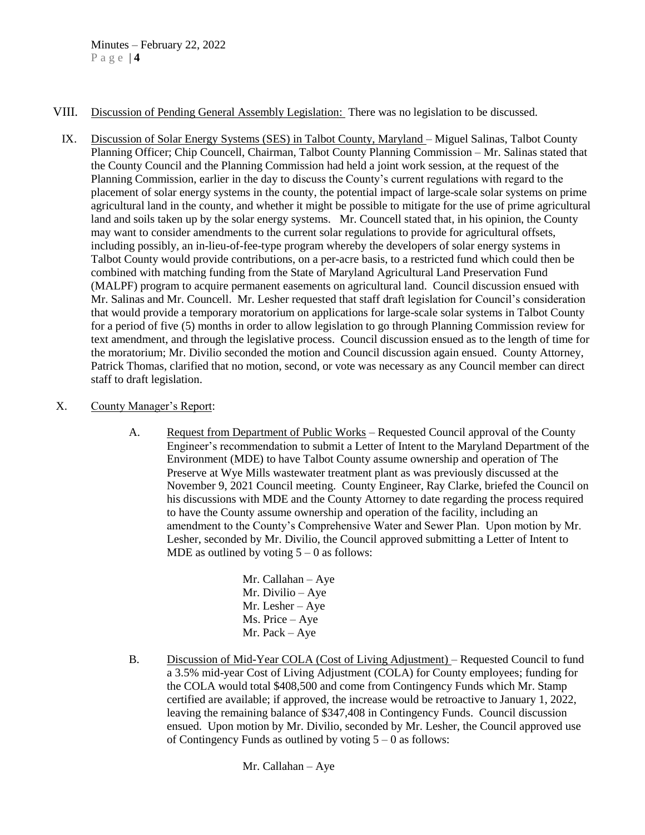- VIII. Discussion of Pending General Assembly Legislation: There was no legislation to be discussed.
	- IX. Discussion of Solar Energy Systems (SES) in Talbot County, Maryland Miguel Salinas, Talbot County Planning Officer; Chip Councell, Chairman, Talbot County Planning Commission – Mr. Salinas stated that the County Council and the Planning Commission had held a joint work session, at the request of the Planning Commission, earlier in the day to discuss the County's current regulations with regard to the placement of solar energy systems in the county, the potential impact of large-scale solar systems on prime agricultural land in the county, and whether it might be possible to mitigate for the use of prime agricultural land and soils taken up by the solar energy systems. Mr. Councell stated that, in his opinion, the County may want to consider amendments to the current solar regulations to provide for agricultural offsets, including possibly, an in-lieu-of-fee-type program whereby the developers of solar energy systems in Talbot County would provide contributions, on a per-acre basis, to a restricted fund which could then be combined with matching funding from the State of Maryland Agricultural Land Preservation Fund (MALPF) program to acquire permanent easements on agricultural land. Council discussion ensued with Mr. Salinas and Mr. Councell. Mr. Lesher requested that staff draft legislation for Council's consideration that would provide a temporary moratorium on applications for large-scale solar systems in Talbot County for a period of five (5) months in order to allow legislation to go through Planning Commission review for text amendment, and through the legislative process. Council discussion ensued as to the length of time for the moratorium; Mr. Divilio seconded the motion and Council discussion again ensued. County Attorney, Patrick Thomas, clarified that no motion, second, or vote was necessary as any Council member can direct staff to draft legislation.
- X. County Manager's Report:
	- A. Request from Department of Public Works Requested Council approval of the County Engineer's recommendation to submit a Letter of Intent to the Maryland Department of the Environment (MDE) to have Talbot County assume ownership and operation of The Preserve at Wye Mills wastewater treatment plant as was previously discussed at the November 9, 2021 Council meeting. County Engineer, Ray Clarke, briefed the Council on his discussions with MDE and the County Attorney to date regarding the process required to have the County assume ownership and operation of the facility, including an amendment to the County's Comprehensive Water and Sewer Plan. Upon motion by Mr. Lesher, seconded by Mr. Divilio, the Council approved submitting a Letter of Intent to MDE as outlined by voting  $5 - 0$  as follows:
		- Mr. Callahan Aye Mr. Divilio – Aye Mr. Lesher – Aye Ms. Price – Aye Mr. Pack – Aye
	- B. Discussion of Mid-Year COLA (Cost of Living Adjustment) Requested Council to fund a 3.5% mid-year Cost of Living Adjustment (COLA) for County employees; funding for the COLA would total \$408,500 and come from Contingency Funds which Mr. Stamp certified are available; if approved, the increase would be retroactive to January 1, 2022, leaving the remaining balance of \$347,408 in Contingency Funds. Council discussion ensued. Upon motion by Mr. Divilio, seconded by Mr. Lesher, the Council approved use of Contingency Funds as outlined by voting  $5 - 0$  as follows: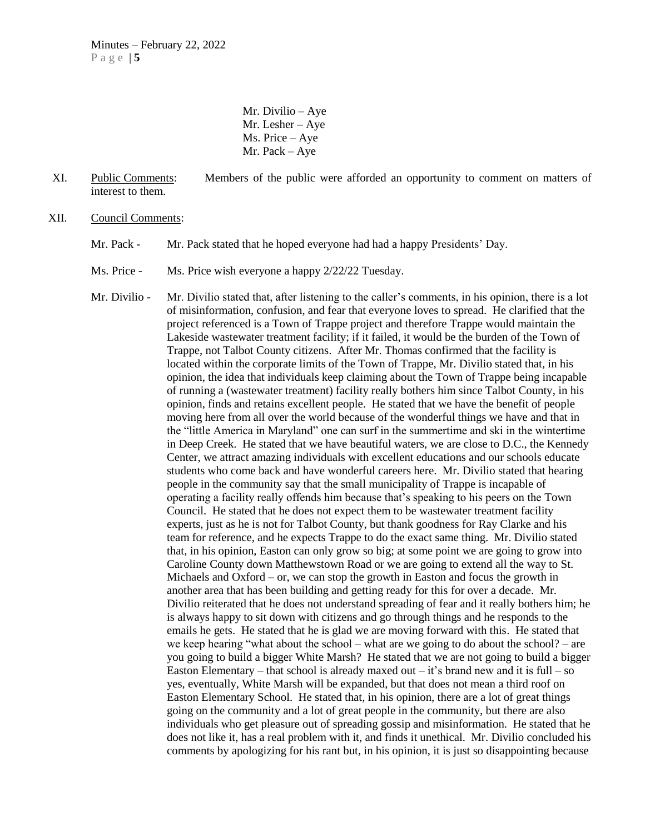Mr. Divilio – Aye Mr. Lesher – Aye Ms. Price – Aye Mr. Pack – Aye

- XI. Public Comments: Members of the public were afforded an opportunity to comment on matters of interest to them.
- XII. Council Comments:
	- Mr. Pack Mr. Pack stated that he hoped everyone had had a happy Presidents' Day.
	- Ms. Price Ms. Price wish everyone a happy 2/22/22 Tuesday.

Mr. Divilio - Mr. Divilio stated that, after listening to the caller's comments, in his opinion, there is a lot of misinformation, confusion, and fear that everyone loves to spread. He clarified that the project referenced is a Town of Trappe project and therefore Trappe would maintain the Lakeside wastewater treatment facility; if it failed, it would be the burden of the Town of Trappe, not Talbot County citizens. After Mr. Thomas confirmed that the facility is located within the corporate limits of the Town of Trappe, Mr. Divilio stated that, in his opinion, the idea that individuals keep claiming about the Town of Trappe being incapable of running a (wastewater treatment) facility really bothers him since Talbot County, in his opinion, finds and retains excellent people. He stated that we have the benefit of people moving here from all over the world because of the wonderful things we have and that in the "little America in Maryland" one can surf in the summertime and ski in the wintertime in Deep Creek. He stated that we have beautiful waters, we are close to D.C., the Kennedy Center, we attract amazing individuals with excellent educations and our schools educate students who come back and have wonderful careers here. Mr. Divilio stated that hearing people in the community say that the small municipality of Trappe is incapable of operating a facility really offends him because that's speaking to his peers on the Town Council. He stated that he does not expect them to be wastewater treatment facility experts, just as he is not for Talbot County, but thank goodness for Ray Clarke and his team for reference, and he expects Trappe to do the exact same thing. Mr. Divilio stated that, in his opinion, Easton can only grow so big; at some point we are going to grow into Caroline County down Matthewstown Road or we are going to extend all the way to St. Michaels and Oxford – or, we can stop the growth in Easton and focus the growth in another area that has been building and getting ready for this for over a decade. Mr. Divilio reiterated that he does not understand spreading of fear and it really bothers him; he is always happy to sit down with citizens and go through things and he responds to the emails he gets. He stated that he is glad we are moving forward with this. He stated that we keep hearing "what about the school – what are we going to do about the school? – are you going to build a bigger White Marsh? He stated that we are not going to build a bigger Easton Elementary – that school is already maxed out – it's brand new and it is full – so yes, eventually, White Marsh will be expanded, but that does not mean a third roof on Easton Elementary School. He stated that, in his opinion, there are a lot of great things going on the community and a lot of great people in the community, but there are also individuals who get pleasure out of spreading gossip and misinformation. He stated that he does not like it, has a real problem with it, and finds it unethical. Mr. Divilio concluded his comments by apologizing for his rant but, in his opinion, it is just so disappointing because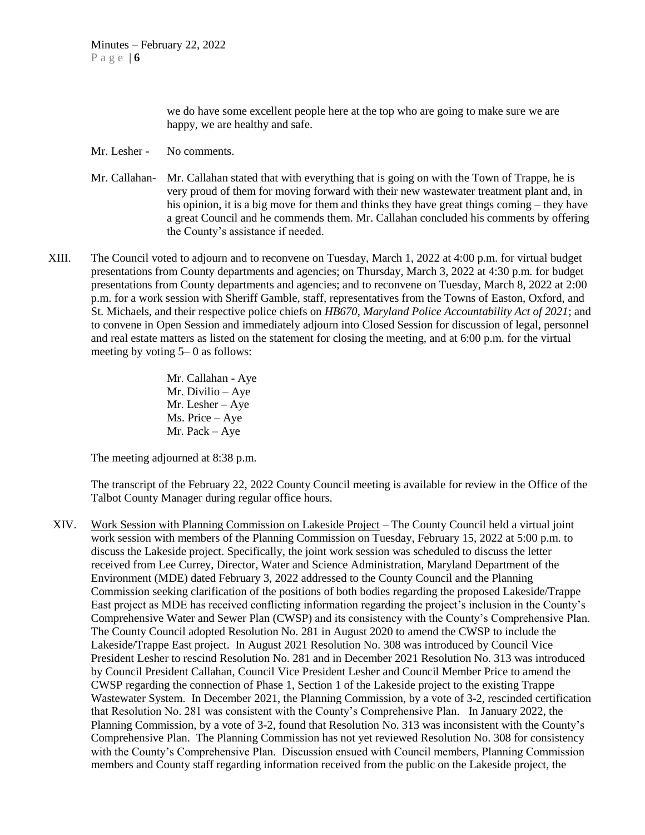we do have some excellent people here at the top who are going to make sure we are happy, we are healthy and safe.

- Mr. Lesher No comments.
- Mr. Callahan- Mr. Callahan stated that with everything that is going on with the Town of Trappe, he is very proud of them for moving forward with their new wastewater treatment plant and, in his opinion, it is a big move for them and thinks they have great things coming – they have a great Council and he commends them. Mr. Callahan concluded his comments by offering the County's assistance if needed.
- XIII. The Council voted to adjourn and to reconvene on Tuesday, March 1, 2022 at 4:00 p.m. for virtual budget presentations from County departments and agencies; on Thursday, March 3, 2022 at 4:30 p.m. for budget presentations from County departments and agencies; and to reconvene on Tuesday, March 8, 2022 at 2:00 p.m. for a work session with Sheriff Gamble, staff, representatives from the Towns of Easton, Oxford, and St. Michaels, and their respective police chiefs on *HB670, Maryland Police Accountability Act of 2021*; and to convene in Open Session and immediately adjourn into Closed Session for discussion of legal, personnel and real estate matters as listed on the statement for closing the meeting, and at 6:00 p.m. for the virtual meeting by voting 5– 0 as follows:

Mr. Callahan - Aye Mr. Divilio – Aye Mr. Lesher – Aye Ms. Price – Aye Mr. Pack – Aye

The meeting adjourned at 8:38 p.m.

The transcript of the February 22, 2022 County Council meeting is available for review in the Office of the Talbot County Manager during regular office hours.

XIV. Work Session with Planning Commission on Lakeside Project – The County Council held a virtual joint work session with members of the Planning Commission on Tuesday, February 15, 2022 at 5:00 p.m. to discuss the Lakeside project. Specifically, the joint work session was scheduled to discuss the letter received from Lee Currey, Director, Water and Science Administration, Maryland Department of the Environment (MDE) dated February 3, 2022 addressed to the County Council and the Planning Commission seeking clarification of the positions of both bodies regarding the proposed Lakeside/Trappe East project as MDE has received conflicting information regarding the project's inclusion in the County's Comprehensive Water and Sewer Plan (CWSP) and its consistency with the County's Comprehensive Plan. The County Council adopted Resolution No. 281 in August 2020 to amend the CWSP to include the Lakeside/Trappe East project. In August 2021 Resolution No. 308 was introduced by Council Vice President Lesher to rescind Resolution No. 281 and in December 2021 Resolution No. 313 was introduced by Council President Callahan, Council Vice President Lesher and Council Member Price to amend the CWSP regarding the connection of Phase 1, Section 1 of the Lakeside project to the existing Trappe Wastewater System. In December 2021, the Planning Commission, by a vote of 3-2, rescinded certification that Resolution No. 281 was consistent with the County's Comprehensive Plan. In January 2022, the Planning Commission, by a vote of 3-2, found that Resolution No. 313 was inconsistent with the County's Comprehensive Plan. The Planning Commission has not yet reviewed Resolution No. 308 for consistency with the County's Comprehensive Plan. Discussion ensued with Council members, Planning Commission members and County staff regarding information received from the public on the Lakeside project, the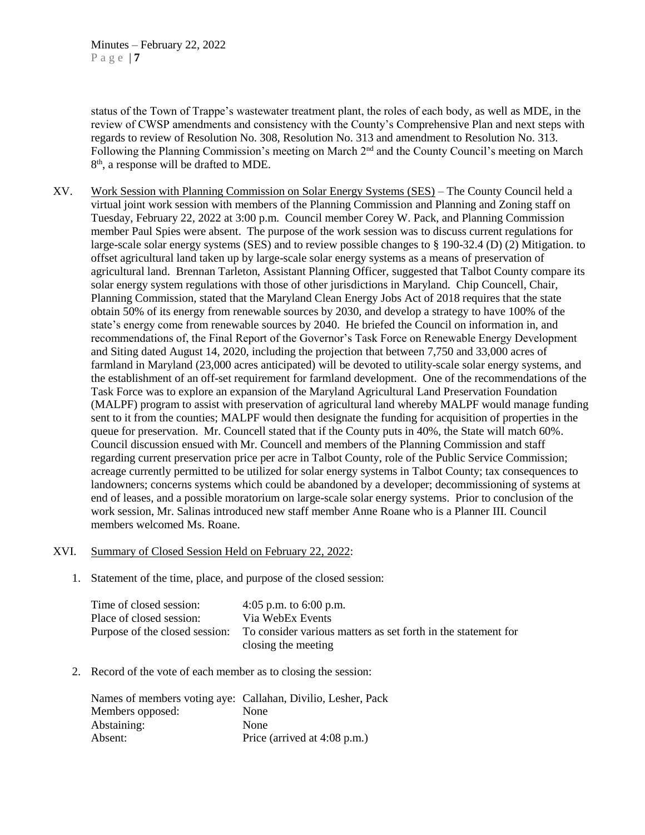status of the Town of Trappe's wastewater treatment plant, the roles of each body, as well as MDE, in the review of CWSP amendments and consistency with the County's Comprehensive Plan and next steps with regards to review of Resolution No. 308, Resolution No. 313 and amendment to Resolution No. 313. Following the Planning Commission's meeting on March 2nd and the County Council's meeting on March 8<sup>th</sup>, a response will be drafted to MDE.

XV. Work Session with Planning Commission on Solar Energy Systems (SES) – The County Council held a virtual joint work session with members of the Planning Commission and Planning and Zoning staff on Tuesday, February 22, 2022 at 3:00 p.m. Council member Corey W. Pack, and Planning Commission member Paul Spies were absent. The purpose of the work session was to discuss current regulations for large-scale solar energy systems (SES) and to review possible changes to § 190-32.4 (D) (2) Mitigation. to offset agricultural land taken up by large-scale solar energy systems as a means of preservation of agricultural land. Brennan Tarleton, Assistant Planning Officer, suggested that Talbot County compare its solar energy system regulations with those of other jurisdictions in Maryland. Chip Councell, Chair, Planning Commission, stated that the Maryland Clean Energy Jobs Act of 2018 requires that the state obtain 50% of its energy from renewable sources by 2030, and develop a strategy to have 100% of the state's energy come from renewable sources by 2040. He briefed the Council on information in, and recommendations of, the Final Report of the Governor's Task Force on Renewable Energy Development and Siting dated August 14, 2020, including the projection that between 7,750 and 33,000 acres of farmland in Maryland (23,000 acres anticipated) will be devoted to utility-scale solar energy systems, and the establishment of an off-set requirement for farmland development. One of the recommendations of the Task Force was to explore an expansion of the Maryland Agricultural Land Preservation Foundation (MALPF) program to assist with preservation of agricultural land whereby MALPF would manage funding sent to it from the counties; MALPF would then designate the funding for acquisition of properties in the queue for preservation. Mr. Councell stated that if the County puts in 40%, the State will match 60%. Council discussion ensued with Mr. Councell and members of the Planning Commission and staff regarding current preservation price per acre in Talbot County, role of the Public Service Commission; acreage currently permitted to be utilized for solar energy systems in Talbot County; tax consequences to landowners; concerns systems which could be abandoned by a developer; decommissioning of systems at end of leases, and a possible moratorium on large-scale solar energy systems. Prior to conclusion of the work session, Mr. Salinas introduced new staff member Anne Roane who is a Planner III. Council members welcomed Ms. Roane.

# XVI. Summary of Closed Session Held on February 22, 2022:

1. Statement of the time, place, and purpose of the closed session:

| Time of closed session:  | 4:05 p.m. to $6:00$ p.m.                                                                     |
|--------------------------|----------------------------------------------------------------------------------------------|
| Place of closed session: | Via WebEx Events                                                                             |
|                          | Purpose of the closed session: To consider various matters as set forth in the statement for |
|                          | closing the meeting                                                                          |

2. Record of the vote of each member as to closing the session:

|                  | Names of members voting aye: Callahan, Divilio, Lesher, Pack |
|------------------|--------------------------------------------------------------|
| Members opposed: | None                                                         |
| Abstaining:      | None                                                         |
| Absent:          | Price (arrived at 4:08 p.m.)                                 |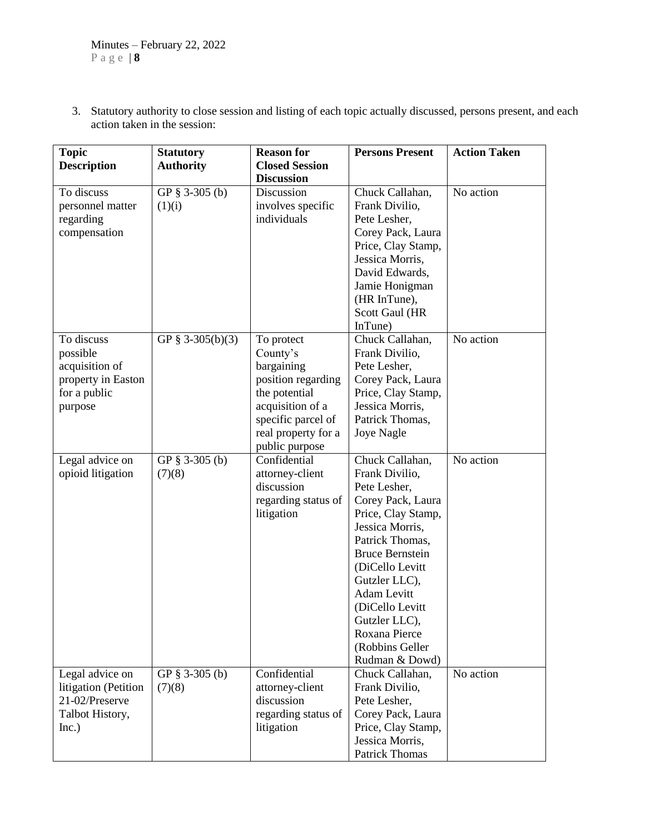3. Statutory authority to close session and listing of each topic actually discussed, persons present, and each action taken in the session:

| <b>Topic</b>         | <b>Statutory</b>  | <b>Reason for</b>               | <b>Persons Present</b>                | <b>Action Taken</b> |
|----------------------|-------------------|---------------------------------|---------------------------------------|---------------------|
| <b>Description</b>   | <b>Authority</b>  | <b>Closed Session</b>           |                                       |                     |
| To discuss           | GP § 3-305 (b)    | <b>Discussion</b><br>Discussion | Chuck Callahan,                       | No action           |
| personnel matter     | (1)(i)            | involves specific               | Frank Divilio,                        |                     |
| regarding            |                   | individuals                     | Pete Lesher,                          |                     |
| compensation         |                   |                                 | Corey Pack, Laura                     |                     |
|                      |                   |                                 | Price, Clay Stamp,                    |                     |
|                      |                   |                                 | Jessica Morris,                       |                     |
|                      |                   |                                 | David Edwards,                        |                     |
|                      |                   |                                 | Jamie Honigman                        |                     |
|                      |                   |                                 | (HR InTune),                          |                     |
|                      |                   |                                 | Scott Gaul (HR                        |                     |
|                      |                   |                                 | InTune)                               |                     |
| To discuss           | GP § 3-305(b)(3)  | To protect                      | Chuck Callahan,                       | No action           |
| possible             |                   | County's                        | Frank Divilio,                        |                     |
| acquisition of       |                   | bargaining                      | Pete Lesher,                          |                     |
| property in Easton   |                   | position regarding              | Corey Pack, Laura                     |                     |
| for a public         |                   | the potential                   | Price, Clay Stamp,                    |                     |
| purpose              |                   | acquisition of a                | Jessica Morris,                       |                     |
|                      |                   | specific parcel of              | Patrick Thomas,                       |                     |
|                      |                   | real property for a             | Joye Nagle                            |                     |
|                      |                   | public purpose                  |                                       |                     |
| Legal advice on      | GP $§$ 3-305 (b)  | Confidential                    | Chuck Callahan,                       | No action           |
| opioid litigation    | (7)(8)            | attorney-client                 | Frank Divilio,                        |                     |
|                      |                   | discussion                      | Pete Lesher,                          |                     |
|                      |                   | regarding status of             | Corey Pack, Laura                     |                     |
|                      |                   | litigation                      | Price, Clay Stamp,<br>Jessica Morris, |                     |
|                      |                   |                                 | Patrick Thomas,                       |                     |
|                      |                   |                                 | <b>Bruce Bernstein</b>                |                     |
|                      |                   |                                 | (DiCello Levitt                       |                     |
|                      |                   |                                 | Gutzler LLC),                         |                     |
|                      |                   |                                 | <b>Adam Levitt</b>                    |                     |
|                      |                   |                                 | (DiCello Levitt                       |                     |
|                      |                   |                                 | Gutzler LLC),                         |                     |
|                      |                   |                                 | Roxana Pierce                         |                     |
|                      |                   |                                 | (Robbins Geller                       |                     |
|                      |                   |                                 | Rudman & Dowd)                        |                     |
| Legal advice on      | GP $\S$ 3-305 (b) | Confidential                    | Chuck Callahan,                       | No action           |
| litigation (Petition | (7)(8)            | attorney-client                 | Frank Divilio,                        |                     |
| 21-02/Preserve       |                   | discussion                      | Pete Lesher,                          |                     |
| Talbot History,      |                   | regarding status of             | Corey Pack, Laura                     |                     |
| Inc.)                |                   | litigation                      | Price, Clay Stamp,                    |                     |
|                      |                   |                                 | Jessica Morris,                       |                     |
|                      |                   |                                 | Patrick Thomas                        |                     |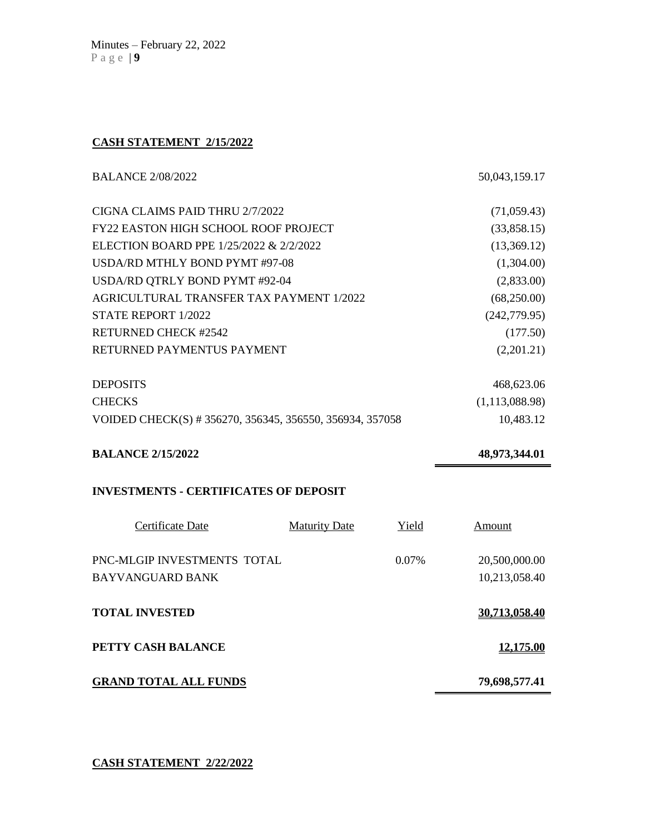# **CASH STATEMENT 2/15/2022**

| <b>BALANCE 2/08/2022</b>                                 | 50,043,159.17    |
|----------------------------------------------------------|------------------|
| CIGNA CLAIMS PAID THRU 2/7/2022                          | (71,059.43)      |
| <b>FY22 EASTON HIGH SCHOOL ROOF PROJECT</b>              | (33,858.15)      |
| ELECTION BOARD PPE 1/25/2022 & 2/2/2022                  | (13,369.12)      |
| USDA/RD MTHLY BOND PYMT #97-08                           | (1,304.00)       |
| USDA/RD QTRLY BOND PYMT #92-04                           | (2,833.00)       |
| AGRICULTURAL TRANSFER TAX PAYMENT 1/2022                 | (68,250.00)      |
| STATE REPORT 1/2022                                      | (242, 779.95)    |
| <b>RETURNED CHECK #2542</b>                              | (177.50)         |
| RETURNED PAYMENTUS PAYMENT                               | (2,201.21)       |
| <b>DEPOSITS</b>                                          | 468,623.06       |
| <b>CHECKS</b>                                            | (1, 113, 088.98) |
| VOIDED CHECK(S) # 356270, 356345, 356550, 356934, 357058 | 10,483.12        |
| <b>BALANCE 2/15/2022</b>                                 | 48,973,344.01    |
| <b>INVESTMENTS - CERTIFICATES OF DEPOSIT</b>             |                  |
| Certificate Date<br><b>Maturity Date</b><br>Yield        | Amount           |

| PNC-MLGIP INVESTMENTS TOTAL<br>BAYVANGUARD BANK | $0.07\%$ | 20,500,000.00<br>10,213,058.40 |
|-------------------------------------------------|----------|--------------------------------|
| <b>TOTAL INVESTED</b>                           |          | <u>30.713.058.40</u>           |
| PETTY CASH BALANCE                              |          | 12,175.00                      |
| <b>GRAND TOTAL ALL FUNDS</b>                    |          | 79,698,577.41                  |

**CASH STATEMENT 2/22/2022**